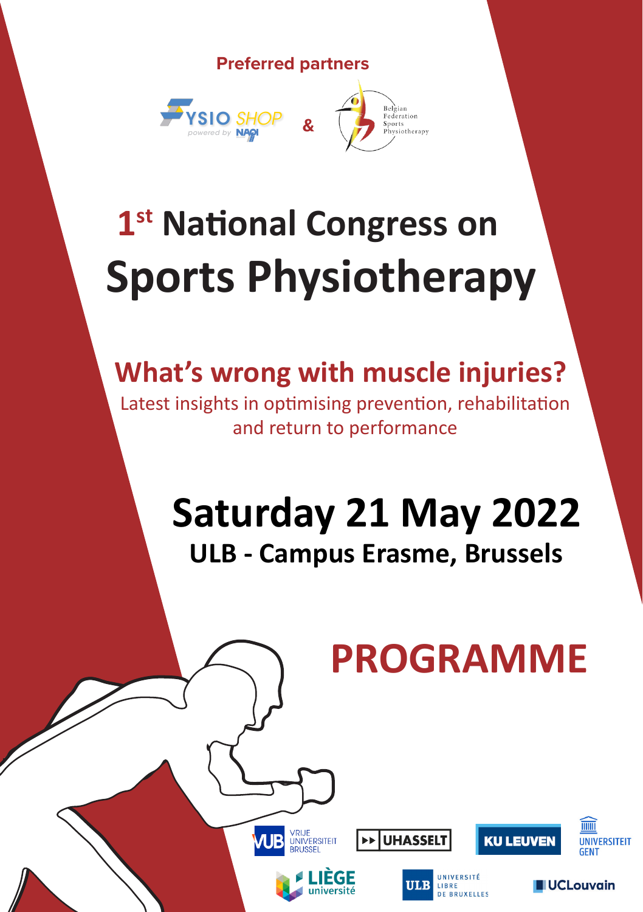**Preferred partners**



# **1st National Congress on Sports Physiotherapy**

## **What's wrong with muscle injuries?**

Latest insights in optimising prevention, rehabilitation and return to performance

## **ULB - Campus Erasme, Brussels Saturday 21 May 2022**

## **PROGRAMME**

**CLLL ELIVEN** 

**UNIVERSITEIT GENT** 

**IUCLouvain** 



VRIJE<br>UNIVERSITEIT



**UHASSEL**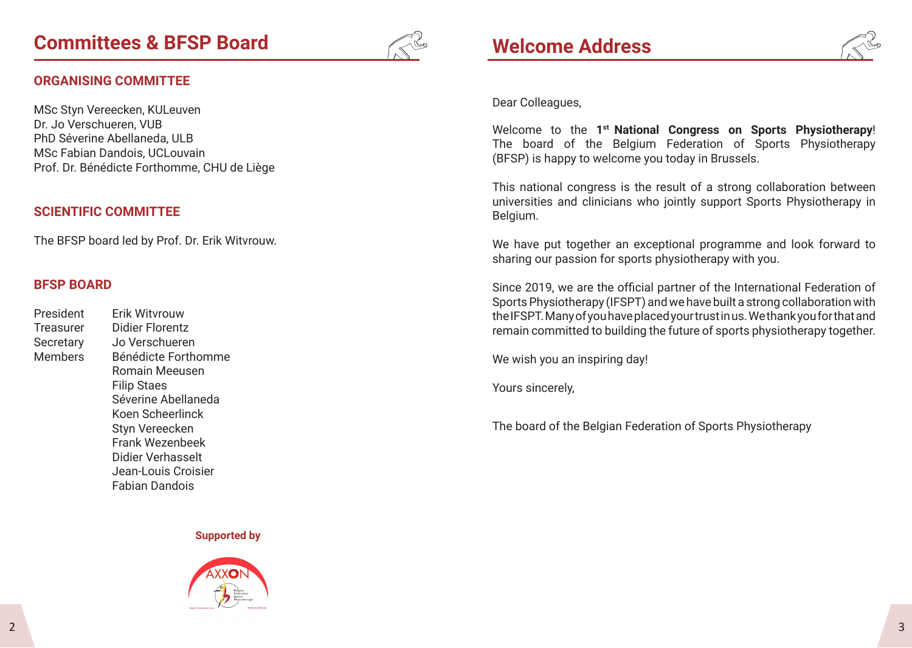

#### **ORGANISING COMMITTEE**

MSc Styn Vereecken, KULeuven Dr. Jo Verschueren, VUB PhD Séverine Abellaneda, ULB MSc Fabian Dandois, UCLouvain Prof. Dr. Bénédicte Forthomme, CHU de Liège

#### **SCIENTIFIC COMMITTEE**

The BFSP board led by Prof. Dr. Erik Witvrouw.

#### **BFSP BOARD**

President Erik Witvrouw Treasurer Didier Florentz Secretary Jo Verschueren Members Bénédicte Forthomme Romain Meeusen Filip Staes Séverine Abellaneda Koen Scheerlinck Styn Vereecken Frank Wezenbeek Didier Verhasselt Jean-Louis Croisier Fabian Dandois

#### **Supported by**





#### Dear Colleagues,

Welcome to the **1st National Congress on Sports Physiotherapy**! The board of the Belgium Federation of Sports Physiotherapy (BFSP) is happy to welcome you today in Brussels.

This national congress is the result of a strong collaboration between universities and clinicians who jointly support Sports Physiotherapy in Belgium.

We have put together an exceptional programme and look forward to sharing our passion for sports physiotherapy with you.

Since 2019, we are the official partner of the International Federation of Sports Physiotherapy (IFSPT) and we have built a strong collaboration with the IFSPT. Many of you have placed your trust in us. We thank you for that and remain committed to building the future of sports physiotherapy together.

We wish you an inspiring day!

Yours sincerely,

The board of the Belgian Federation of Sports Physiotherapy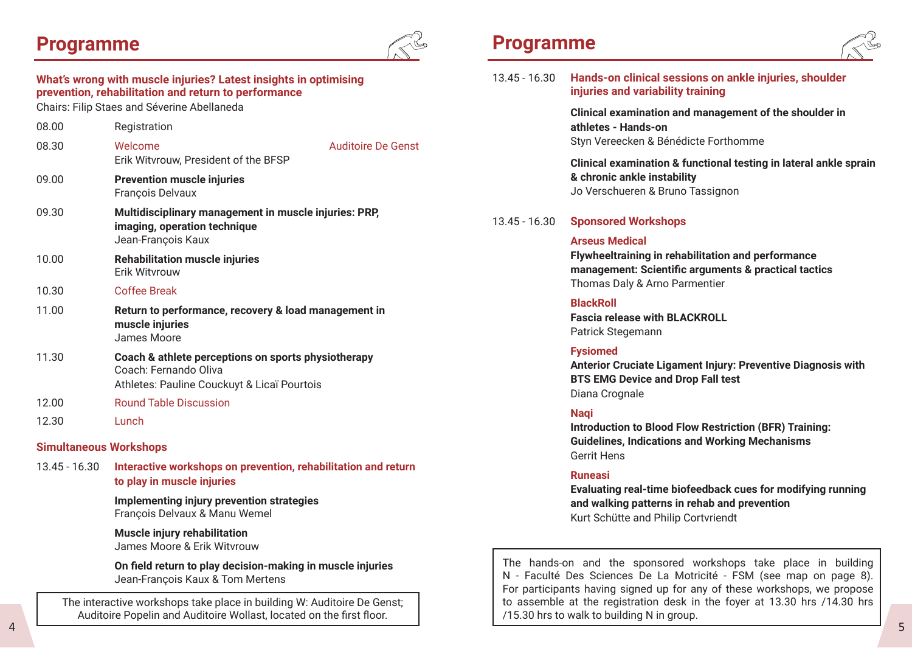### **Programme**



### **What's wrong with muscle injuries? Latest insights in optimising prevention, rehabilitation and return to performance**

Chairs: Filip Staes and Séverine Abellaneda

| 08.00 | Registration                                                                                                                |                           |
|-------|-----------------------------------------------------------------------------------------------------------------------------|---------------------------|
| 08.30 | Welcome<br>Erik Witvrouw, President of the BFSP                                                                             | <b>Auditoire De Genst</b> |
| 09.00 | <b>Prevention muscle injuries</b><br>François Delvaux                                                                       |                           |
| 09.30 | Multidisciplinary management in muscle injuries: PRP,<br>imaging, operation technique<br>Jean-François Kaux                 |                           |
| 10.00 | <b>Rehabilitation muscle injuries</b><br>Erik Witvrouw                                                                      |                           |
| 10.30 | Coffee Break                                                                                                                |                           |
| 11.00 | Return to performance, recovery & load management in<br>muscle injuries<br>James Moore                                      |                           |
| 11.30 | Coach & athlete perceptions on sports physiotherapy<br>Coach: Fernando Oliva<br>Athletes: Pauline Couckuyt & Licaï Pourtois |                           |
| 12.00 | <b>Round Table Discussion</b>                                                                                               |                           |
| 12.30 | Lunch                                                                                                                       |                           |

#### **Simultaneous Workshops**

13.45 - 16.30 **Interactive workshops on prevention, rehabilitation and return to play in muscle injuries**

> **Implementing injury prevention strategies** François Delvaux & Manu Wemel

 **Muscle injury rehabilitation** James Moore & Erik Witvrouw

 **On field return to play decision-making in muscle injuries** Jean-François Kaux & Tom Mertens

 4 5 The interactive workshops take place in building W: Auditoire De Genst; Auditoire Popelin and Auditoire Wollast, located on the first floor.

### **Programme**



| 13.45 - 16.30 | Hands-on clinical sessions on ankle injuries, shoulder<br>injuries and variability training                                                                          |  |  |
|---------------|----------------------------------------------------------------------------------------------------------------------------------------------------------------------|--|--|
|               | Clinical examination and management of the shoulder in<br>athletes - Hands-on<br>Styn Vereecken & Bénédicte Forthomme                                                |  |  |
|               | Clinical examination & functional testing in lateral ankle sprain<br>& chronic ankle instability<br>Jo Verschueren & Bruno Tassignon                                 |  |  |
| 13.45 - 16.30 | <b>Sponsored Workshops</b>                                                                                                                                           |  |  |
|               | <b>Arseus Medical</b><br>Flywheeltraining in rehabilitation and performance<br>management: Scientific arguments & practical tactics<br>Thomas Daly & Arno Parmentier |  |  |
|               | <b>BlackRoll</b><br><b>Fascia release with BLACKROLL</b><br>Patrick Stegemann                                                                                        |  |  |
|               | <b>Fysiomed</b><br>Anterior Cruciate Ligament Injury: Preventive Diagnosis with<br><b>BTS EMG Device and Drop Fall test</b><br>Diana Crognale                        |  |  |
|               | <b>Nagi</b><br><b>Introduction to Blood Flow Restriction (BFR) Training:</b><br><b>Guidelines, Indications and Working Mechanisms</b><br>Gerrit Hens                 |  |  |

#### **Runeasi**

**Evaluating real-time biofeedback cues for modifying running and walking patterns in rehab and prevention** Kurt Schütte and Philip Cortvriendt

The hands-on and the sponsored workshops take place in building N - Faculté Des Sciences De La Motricité - FSM (see map on page 8). For participants having signed up for any of these workshops, we propose to assemble at the registration desk in the foyer at 13.30 hrs /14.30 hrs /15.30 hrs to walk to building N in group.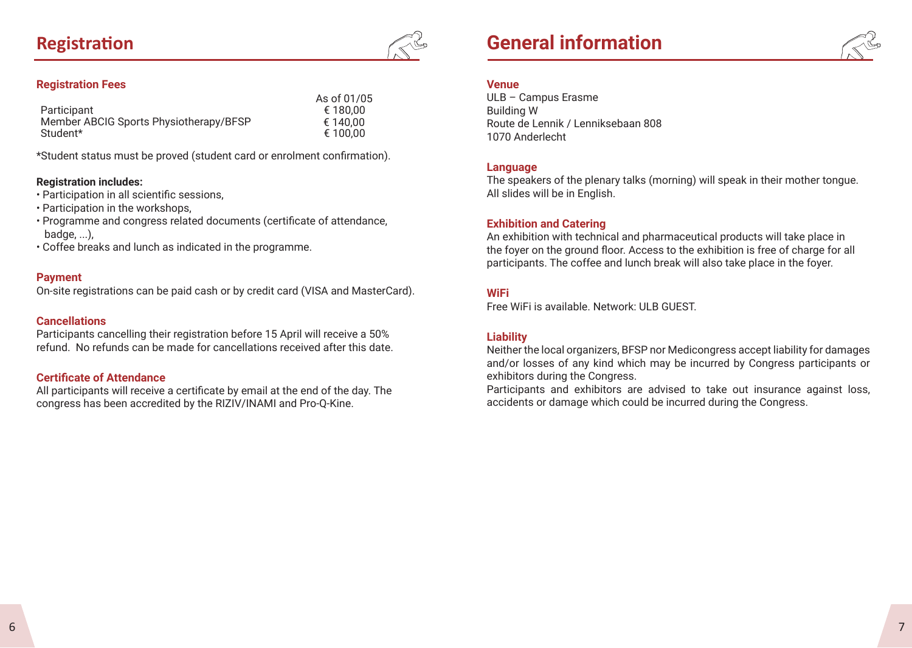### **Registration**



#### **Registration Fees**

|                                        | As of 01/05 |
|----------------------------------------|-------------|
| Participant                            | € 180.00    |
| Member ABCIG Sports Physiotherapy/BFSP | € 140.00    |
| Student*                               | € 100.00    |

\*Student status must be proved (student card or enrolment confirmation).

#### **Registration includes:**

- Participation in all scientific sessions,
- Participation in the workshops,
- Programme and congress related documents (certificate of attendance, badge, ...),
- Coffee breaks and lunch as indicated in the programme.

#### **Payment**

On-site registrations can be paid cash or by credit card (VISA and MasterCard).

#### **Cancellations**

Participants cancelling their registration before 15 April will receive a 50% refund. No refunds can be made for cancellations received after this date.

#### **Certificate of Attendance**

All participants will receive a certificate by email at the end of the day. The congress has been accredited by the RIZIV/INAMI and Pro-Q-Kine.



#### **Venue**

ULB – Campus Erasme Building W Route de Lennik / Lenniksebaan 808 1070 Anderlecht

#### **Language**

The speakers of the plenary talks (morning) will speak in their mother tongue. All slides will be in English.

#### **Exhibition and Catering**

An exhibition with technical and pharmaceutical products will take place in the foyer on the ground floor. Access to the exhibition is free of charge for all participants. The coffee and lunch break will also take place in the foyer.

#### **WiFi**

Free WiFi is available. Network: ULB GUEST.

#### **Liability**

Neither the local organizers, BFSP nor Medicongress accept liability for damages and/or losses of any kind which may be incurred by Congress participants or exhibitors during the Congress.

Participants and exhibitors are advised to take out insurance against loss, accidents or damage which could be incurred during the Congress.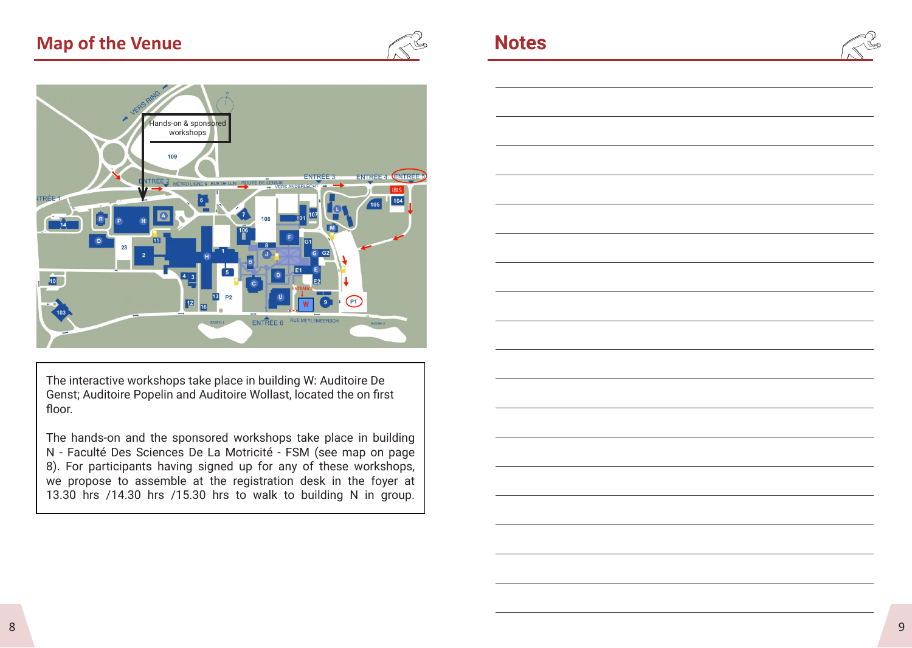### **Map of the Venue** *Notes*





The interactive workshops take place in building W: Auditoire De Genst; Auditoire Popelin and Auditoire Wollast, located the on first floor.

The hands-on and the sponsored workshops take place in building N - Faculté Des Sciences De La Motricité - FSM (see map on page 8). For participants having signed up for any of these workshops, we propose to assemble at the registration desk in the foyer at 13.30 hrs /14.30 hrs /15.30 hrs to walk to building N in group.

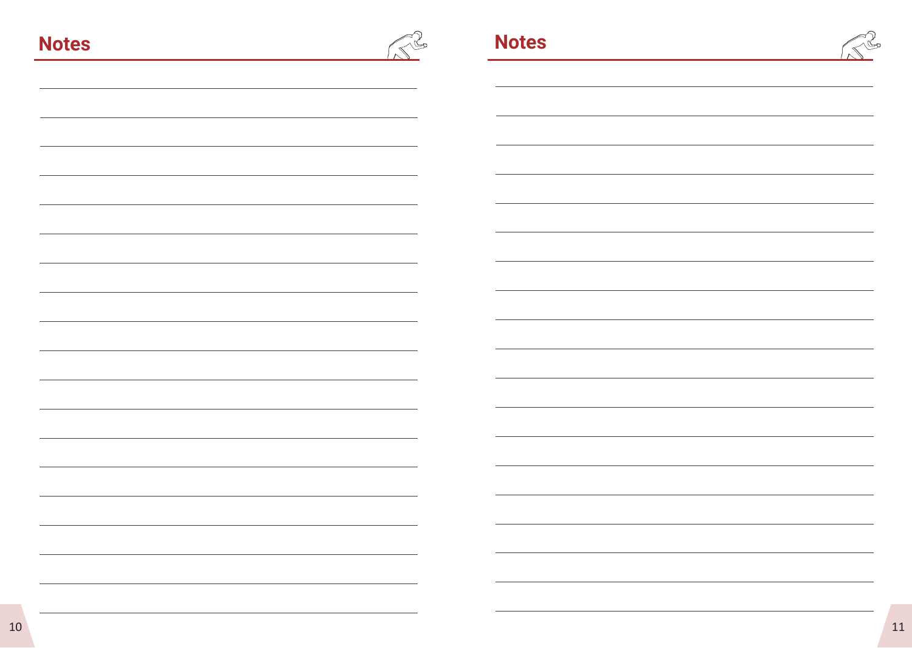|--|--|